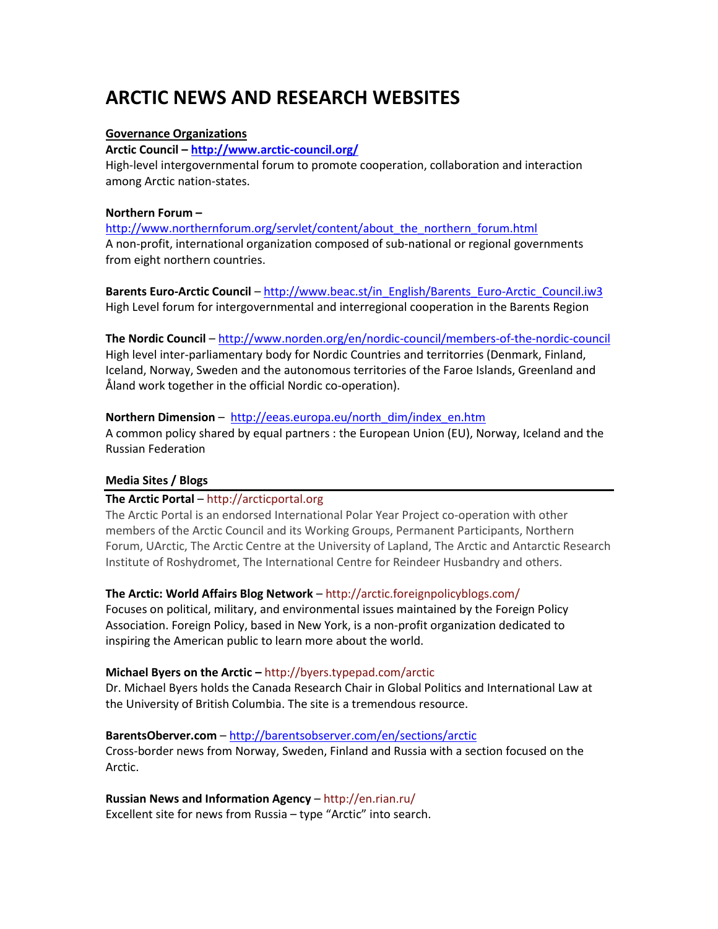# **ARCTIC NEWS AND RESEARCH WEBSITES**

## **Governance Organizations**

#### **Arctic Council – <http://www.arctic-council.org/>**

High-level intergovernmental forum to promote cooperation, collaboration and interaction among Arctic nation-states.

## **Northern Forum –**

[http://www.northernforum.org/servlet/content/about\\_the\\_northern\\_forum.html](http://www.northernforum.org/servlet/content/about_the_northern_forum.html) A non-profit, international organization composed of sub-national or regional governments from eight northern countries.

**Barents Euro-Arctic Council** – [http://www.beac.st/in\\_English/Barents\\_Euro-Arctic\\_Council.iw3](http://www.beac.st/in_English/Barents_Euro-Arctic_Council.iw3) High Level forum for intergovernmental and interregional cooperation in the Barents Region

**The Nordic Council** – <http://www.norden.org/en/nordic-council/members-of-the-nordic-council> High level inter-parliamentary body for Nordic Countries and territorries (Denmark, Finland, Iceland, Norway, Sweden and the autonomous territories of the Faroe Islands, Greenland and Åland work together in the official Nordic co-operation).

## **Northern Dimension** – [http://eeas.europa.eu/north\\_dim/index\\_en.htm](http://eeas.europa.eu/north_dim/index_en.htm)

A common policy shared by equal partners : the European Union (EU), Norway, Iceland and the Russian Federation

# **Media Sites / Blogs**

# **The Arctic Portal** – [http://arcticportal.org](http://arcticportal.org/)

The Arctic Portal is an endorsed International Polar Year Project co-operation with other members of the Arctic Council and its Working Groups, Permanent Participants, Northern Forum, UArctic, The Arctic Centre at the University of Lapland, The Arctic and Antarctic Research Institute of Roshydromet, The International Centre for Reindeer Husbandry and others.

# **The Arctic: World Affairs Blog Network** – <http://arctic.foreignpolicyblogs.com/>

Focuses on political, military, and environmental issues maintained by the Foreign Policy Association. Foreign Policy, based in New York, is a non-profit organization dedicated to inspiring the American public to learn more about the world.

# **Michael Byers on the Arctic –** <http://byers.typepad.com/arctic>

Dr. Michael Byers holds the Canada Research Chair in Global Politics and International Law at the University of British Columbia. The site is a tremendous resource.

# **BarentsOberver.com** – <http://barentsobserver.com/en/sections/arctic>

Cross-border news from Norway, Sweden, Finland and Russia with a section focused on the Arctic.

**Russian News and Information Agency** – <http://en.rian.ru/> Excellent site for news from Russia – type "Arctic" into search.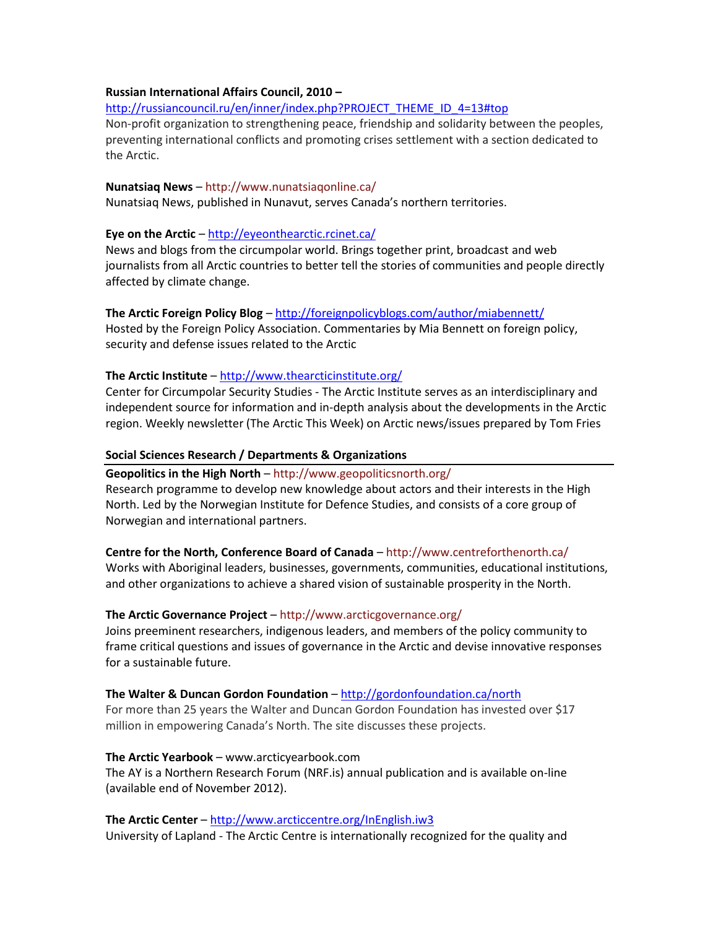#### **Russian International Affairs Council, 2010 –**

[http://russiancouncil.ru/en/inner/index.php?PROJECT\\_THEME\\_ID\\_4=13#top](http://russiancouncil.ru/en/inner/index.php?PROJECT_THEME_ID_4=13#top)

Non-profit organization to strengthening peace, friendship and solidarity between the peoples, preventing international conflicts and promoting crises settlement with a section dedicated to the Arctic.

#### **Nunatsiaq News** – <http://www.nunatsiaqonline.ca/>

Nunatsiaq News, published in Nunavut, serves Canada's northern territories.

# **Eye on the Arctic** – <http://eyeonthearctic.rcinet.ca/>

News and blogs from the circumpolar world. Brings together print, broadcast and web journalists from all Arctic countries to better tell the stories of communities and people directly affected by climate change.

**The Arctic Foreign Policy Blog** – <http://foreignpolicyblogs.com/author/miabennett/> Hosted by the Foreign Policy Association. Commentaries by Mia Bennett on foreign policy, security and defense issues related to the Arctic

# **The Arctic Institute** – <http://www.thearcticinstitute.org/>

Center for Circumpolar Security Studies - The Arctic Institute serves as an interdisciplinary and independent source for information and in-depth analysis about the developments in the Arctic region. Weekly newsletter (The Arctic This Week) on Arctic news/issues prepared by Tom Fries

## **Social Sciences Research / Departments & Organizations**

#### **Geopolitics in the High North** – <http://www.geopoliticsnorth.org/>

Research programme to develop new knowledge about actors and their interests in the High North. Led by the Norwegian Institute for Defence Studies, and consists of a core group of Norwegian and international partners.

# **Centre for the North, Conference Board of Canada** – <http://www.centreforthenorth.ca/>

Works with Aboriginal leaders, businesses, governments, communities, educational institutions, and other organizations to achieve a shared vision of sustainable prosperity in the North.

# **The Arctic Governance Project** – <http://www.arcticgovernance.org/>

Joins preeminent researchers, indigenous leaders, and members of the policy community to frame [critical questions](http://arcticgovernance.custompublish.com/critical-questions-identifying-governance-needs.4774758-154991.html) and issues o[f governance](http://arcticgovernance.custompublish.com/governance.4632456-142145.html) in the Arctic and devise innovative responses for a sustainable future.

#### **The Walter & Duncan Gordon Foundation** – <http://gordonfoundation.ca/north>

For more than 25 years the Walter and Duncan Gordon Foundation has invested over \$17 million in empowering Canada's North. The site discusses these projects.

# **The Arctic Yearbook** – [www.arcticyearbook.com](http://www.arcticyearbook.com/)

The AY is a Northern Research Forum (NRF.is) annual publication and is available on-line (available end of November 2012).

# **The Arctic Center** – <http://www.arcticcentre.org/InEnglish.iw3>

University of Lapland - The Arctic Centre is internationally recognized for the quality and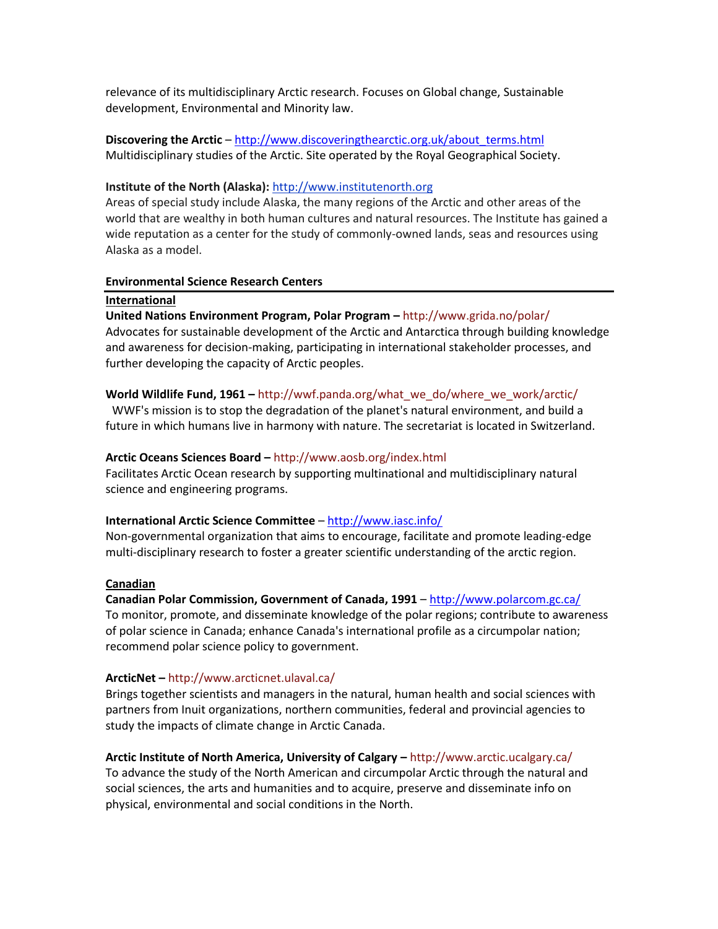relevance of its multidisciplinary Arctic research. Focuses on Global change, Sustainable development, Environmental and Minority law.

**Discovering the Arctic** – [http://www.discoveringthearctic.org.uk/about\\_terms.html](http://www.discoveringthearctic.org.uk/about_terms.html) Multidisciplinary studies of the Arctic. Site operated by the Royal Geographical Society.

#### **Institute of the North (Alaska):** [http://www.institutenorth.org](http://www.institutenorth.org/)

Areas of special study include Alaska, the many regions of the Arctic and other areas of the world that are wealthy in both human cultures and natural resources. The Institute has gained a wide reputation as a center for the study of commonly-owned lands, seas and resources using Alaska as a model.

#### **Environmental Science Research Centers**

#### **International**

# **United Nations Environment Program, Polar Program –** <http://www.grida.no/polar/>

Advocates for sustainable development of the Arctic and Antarctica through building knowledge and awareness for decision-making, participating in international stakeholder processes, and further developing the capacity of Arctic peoples.

## **World Wildlife Fund, 1961 –** [http://wwf.panda.org/what\\_we\\_do/where\\_we\\_work/arctic/](http://wwf.panda.org/what_we_do/where_we_work/arctic/)

WWF's mission is to stop the degradation of the planet's natural environment, and build a future in which humans live in harmony with nature. The secretariat is located in Switzerland.

## **Arctic Oceans Sciences Board –** <http://www.aosb.org/index.html>

Facilitates Arctic Ocean research by supporting multinational and multidisciplinary natural science and engineering programs.

#### **International Arctic Science Committee** – <http://www.iasc.info/>

Non-governmental organization that aims to encourage, facilitate and promote leading-edge multi-disciplinary research to foster a greater scientific understanding of the arctic region.

# **Canadian**

# **Canadian Polar Commission, Government of Canada, 1991** – <http://www.polarcom.gc.ca/>

To monitor, promote, and disseminate knowledge of the polar regions; contribute to awareness of polar science in Canada; enhance Canada's international profile as a circumpolar nation; recommend polar science policy to government.

#### **ArcticNet –** <http://www.arcticnet.ulaval.ca/>

Brings together scientists and managers in the natural, human health and social sciences with partners from Inuit organizations, northern communities, federal and provincial agencies to study the impacts of climate change in Arctic Canada.

# **Arctic Institute of North America, University of Calgary –** <http://www.arctic.ucalgary.ca/>

To advance the study of the North American and circumpolar Arctic through the natural and social sciences, the arts and humanities and to acquire, preserve and disseminate info on physical, environmental and social conditions in the North.